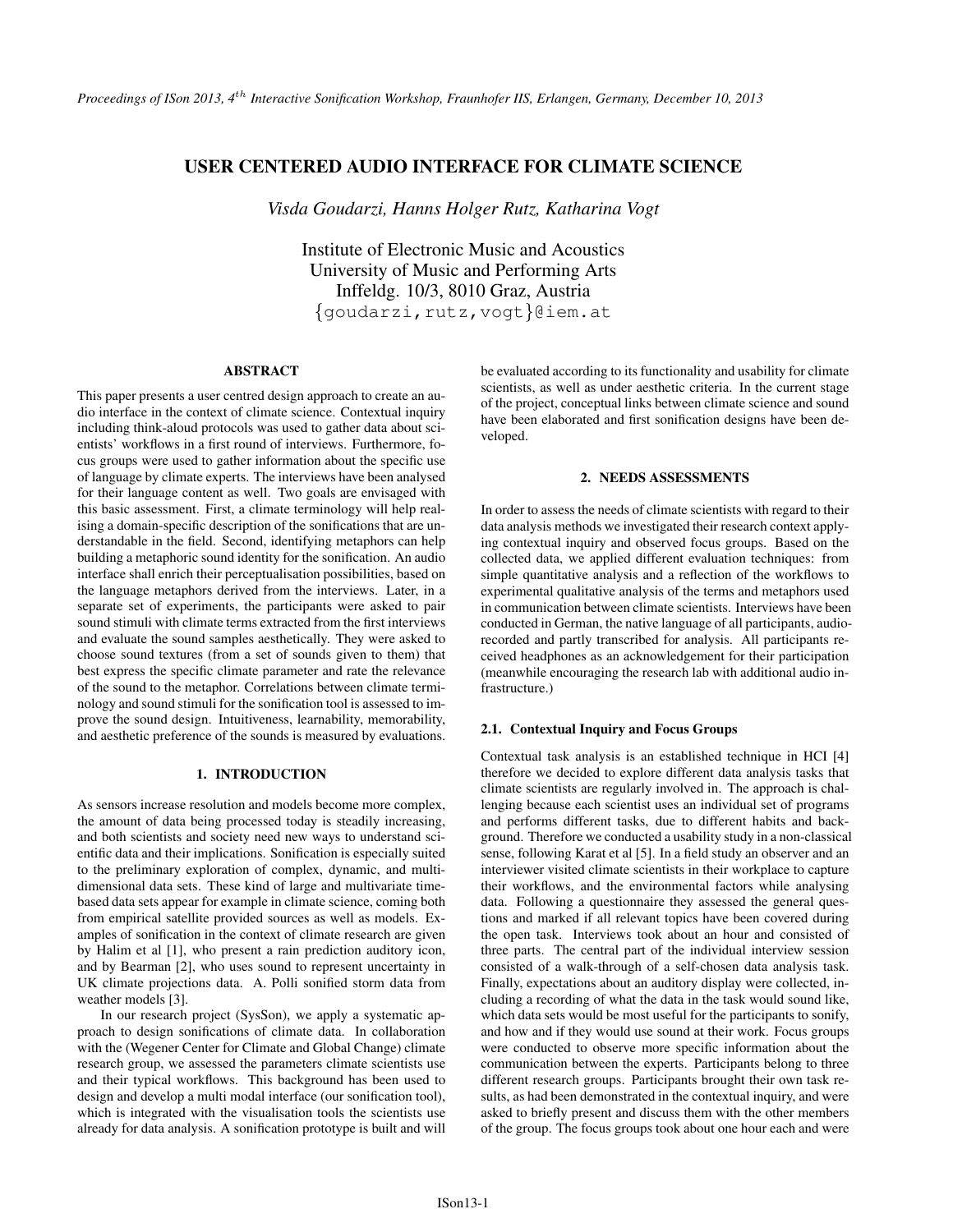# USER CENTERED AUDIO INTERFACE FOR CLIMATE SCIENCE

*Visda Goudarzi, Hanns Holger Rutz, Katharina Vogt*

Institute of Electronic Music and Acoustics University of Music and Performing Arts Inffeldg. 10/3, 8010 Graz, Austria {goudarzi,rutz,vogt}@iem.at

## ABSTRACT

This paper presents a user centred design approach to create an audio interface in the context of climate science. Contextual inquiry including think-aloud protocols was used to gather data about scientists' workflows in a first round of interviews. Furthermore, focus groups were used to gather information about the specific use of language by climate experts. The interviews have been analysed for their language content as well. Two goals are envisaged with this basic assessment. First, a climate terminology will help realising a domain-specific description of the sonifications that are understandable in the field. Second, identifying metaphors can help building a metaphoric sound identity for the sonification. An audio interface shall enrich their perceptualisation possibilities, based on the language metaphors derived from the interviews. Later, in a separate set of experiments, the participants were asked to pair sound stimuli with climate terms extracted from the first interviews and evaluate the sound samples aesthetically. They were asked to choose sound textures (from a set of sounds given to them) that best express the specific climate parameter and rate the relevance of the sound to the metaphor. Correlations between climate terminology and sound stimuli for the sonification tool is assessed to improve the sound design. Intuitiveness, learnability, memorability, and aesthetic preference of the sounds is measured by evaluations.

# 1. INTRODUCTION

As sensors increase resolution and models become more complex, the amount of data being processed today is steadily increasing, and both scientists and society need new ways to understand scientific data and their implications. Sonification is especially suited to the preliminary exploration of complex, dynamic, and multidimensional data sets. These kind of large and multivariate timebased data sets appear for example in climate science, coming both from empirical satellite provided sources as well as models. Examples of sonification in the context of climate research are given by Halim et al [1], who present a rain prediction auditory icon, and by Bearman [2], who uses sound to represent uncertainty in UK climate projections data. A. Polli sonified storm data from weather models [3].

In our research project (SysSon), we apply a systematic approach to design sonifications of climate data. In collaboration with the (Wegener Center for Climate and Global Change) climate research group, we assessed the parameters climate scientists use and their typical workflows. This background has been used to design and develop a multi modal interface (our sonification tool), which is integrated with the visualisation tools the scientists use already for data analysis. A sonification prototype is built and will be evaluated according to its functionality and usability for climate scientists, as well as under aesthetic criteria. In the current stage of the project, conceptual links between climate science and sound have been elaborated and first sonification designs have been developed.

#### 2. NEEDS ASSESSMENTS

In order to assess the needs of climate scientists with regard to their data analysis methods we investigated their research context applying contextual inquiry and observed focus groups. Based on the collected data, we applied different evaluation techniques: from simple quantitative analysis and a reflection of the workflows to experimental qualitative analysis of the terms and metaphors used in communication between climate scientists. Interviews have been conducted in German, the native language of all participants, audiorecorded and partly transcribed for analysis. All participants received headphones as an acknowledgement for their participation (meanwhile encouraging the research lab with additional audio infrastructure.)

#### 2.1. Contextual Inquiry and Focus Groups

Contextual task analysis is an established technique in HCI [4] therefore we decided to explore different data analysis tasks that climate scientists are regularly involved in. The approach is challenging because each scientist uses an individual set of programs and performs different tasks, due to different habits and background. Therefore we conducted a usability study in a non-classical sense, following Karat et al [5]. In a field study an observer and an interviewer visited climate scientists in their workplace to capture their workflows, and the environmental factors while analysing data. Following a questionnaire they assessed the general questions and marked if all relevant topics have been covered during the open task. Interviews took about an hour and consisted of three parts. The central part of the individual interview session consisted of a walk-through of a self-chosen data analysis task. Finally, expectations about an auditory display were collected, including a recording of what the data in the task would sound like, which data sets would be most useful for the participants to sonify, and how and if they would use sound at their work. Focus groups were conducted to observe more specific information about the communication between the experts. Participants belong to three different research groups. Participants brought their own task results, as had been demonstrated in the contextual inquiry, and were asked to briefly present and discuss them with the other members of the group. The focus groups took about one hour each and were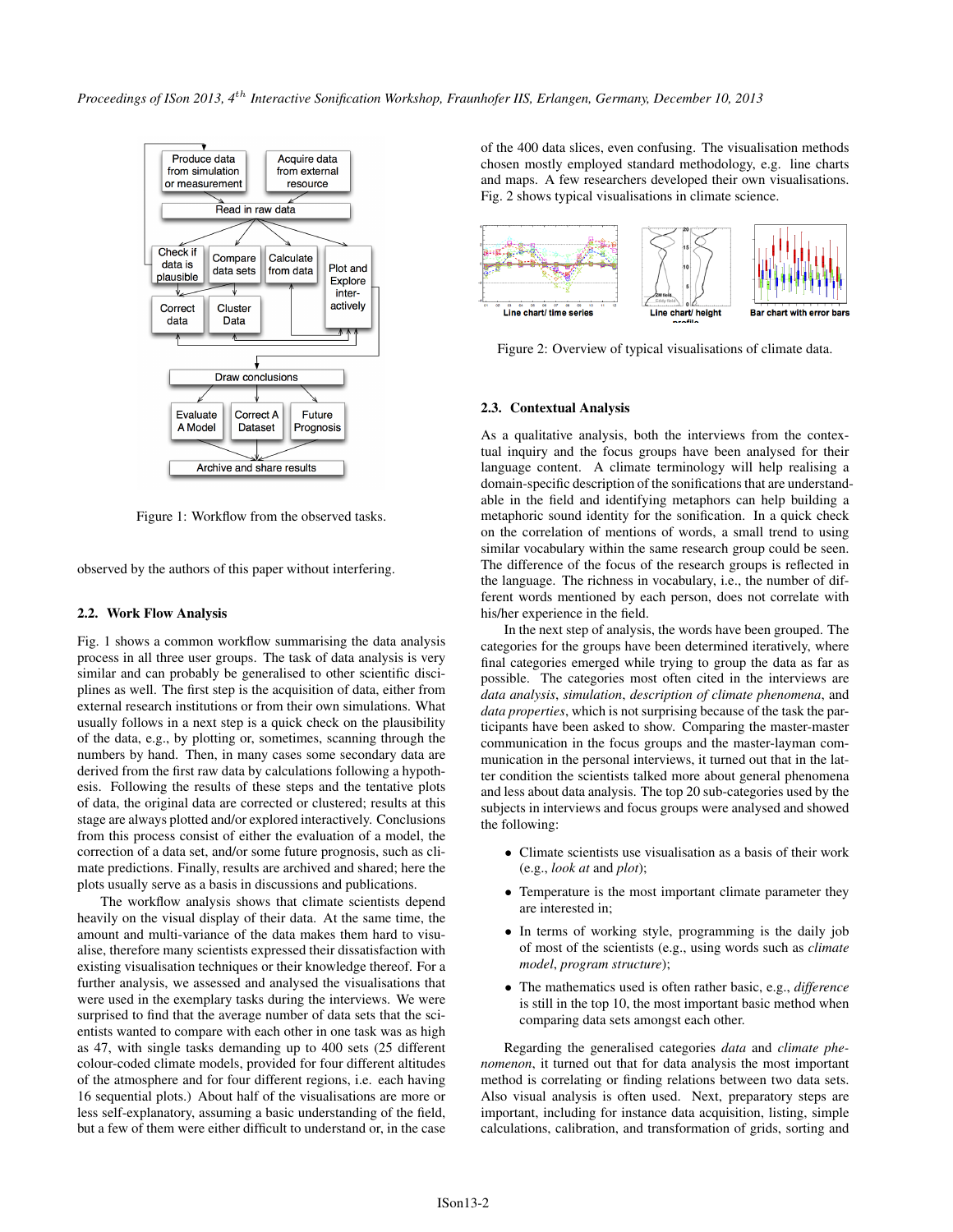

Figure 1: Workflow from the observed tasks.

observed by the authors of this paper without interfering.

#### 2.2. Work Flow Analysis

Fig. 1 shows a common workflow summarising the data analysis process in all three user groups. The task of data analysis is very similar and can probably be generalised to other scientific disciplines as well. The first step is the acquisition of data, either from external research institutions or from their own simulations. What usually follows in a next step is a quick check on the plausibility of the data, e.g., by plotting or, sometimes, scanning through the numbers by hand. Then, in many cases some secondary data are derived from the first raw data by calculations following a hypothesis. Following the results of these steps and the tentative plots of data, the original data are corrected or clustered; results at this stage are always plotted and/or explored interactively. Conclusions from this process consist of either the evaluation of a model, the correction of a data set, and/or some future prognosis, such as climate predictions. Finally, results are archived and shared; here the plots usually serve as a basis in discussions and publications.

The workflow analysis shows that climate scientists depend heavily on the visual display of their data. At the same time, the amount and multi-variance of the data makes them hard to visualise, therefore many scientists expressed their dissatisfaction with existing visualisation techniques or their knowledge thereof. For a further analysis, we assessed and analysed the visualisations that were used in the exemplary tasks during the interviews. We were surprised to find that the average number of data sets that the scientists wanted to compare with each other in one task was as high as 47, with single tasks demanding up to 400 sets (25 different colour-coded climate models, provided for four different altitudes of the atmosphere and for four different regions, i.e. each having 16 sequential plots.) About half of the visualisations are more or less self-explanatory, assuming a basic understanding of the field, but a few of them were either difficult to understand or, in the case

of the 400 data slices, even confusing. The visualisation methods chosen mostly employed standard methodology, e.g. line charts and maps. A few researchers developed their own visualisations. Fig. 2 shows typical visualisations in climate science.



Figure 2: Overview of typical visualisations of climate data.

#### 2.3. Contextual Analysis

As a qualitative analysis, both the interviews from the contextual inquiry and the focus groups have been analysed for their language content. A climate terminology will help realising a domain-specific description of the sonifications that are understandable in the field and identifying metaphors can help building a metaphoric sound identity for the sonification. In a quick check on the correlation of mentions of words, a small trend to using similar vocabulary within the same research group could be seen. The difference of the focus of the research groups is reflected in the language. The richness in vocabulary, i.e., the number of different words mentioned by each person, does not correlate with his/her experience in the field.

In the next step of analysis, the words have been grouped. The categories for the groups have been determined iteratively, where final categories emerged while trying to group the data as far as possible. The categories most often cited in the interviews are *data analysis*, *simulation*, *description of climate phenomena*, and *data properties*, which is not surprising because of the task the participants have been asked to show. Comparing the master-master communication in the focus groups and the master-layman communication in the personal interviews, it turned out that in the latter condition the scientists talked more about general phenomena and less about data analysis. The top 20 sub-categories used by the subjects in interviews and focus groups were analysed and showed the following:

- Climate scientists use visualisation as a basis of their work (e.g., *look at* and *plot*);
- Temperature is the most important climate parameter they are interested in;
- In terms of working style, programming is the daily job of most of the scientists (e.g., using words such as *climate model*, *program structure*);
- The mathematics used is often rather basic, e.g., *difference* is still in the top 10, the most important basic method when comparing data sets amongst each other.

Regarding the generalised categories *data* and *climate phenomenon*, it turned out that for data analysis the most important method is correlating or finding relations between two data sets. Also visual analysis is often used. Next, preparatory steps are important, including for instance data acquisition, listing, simple calculations, calibration, and transformation of grids, sorting and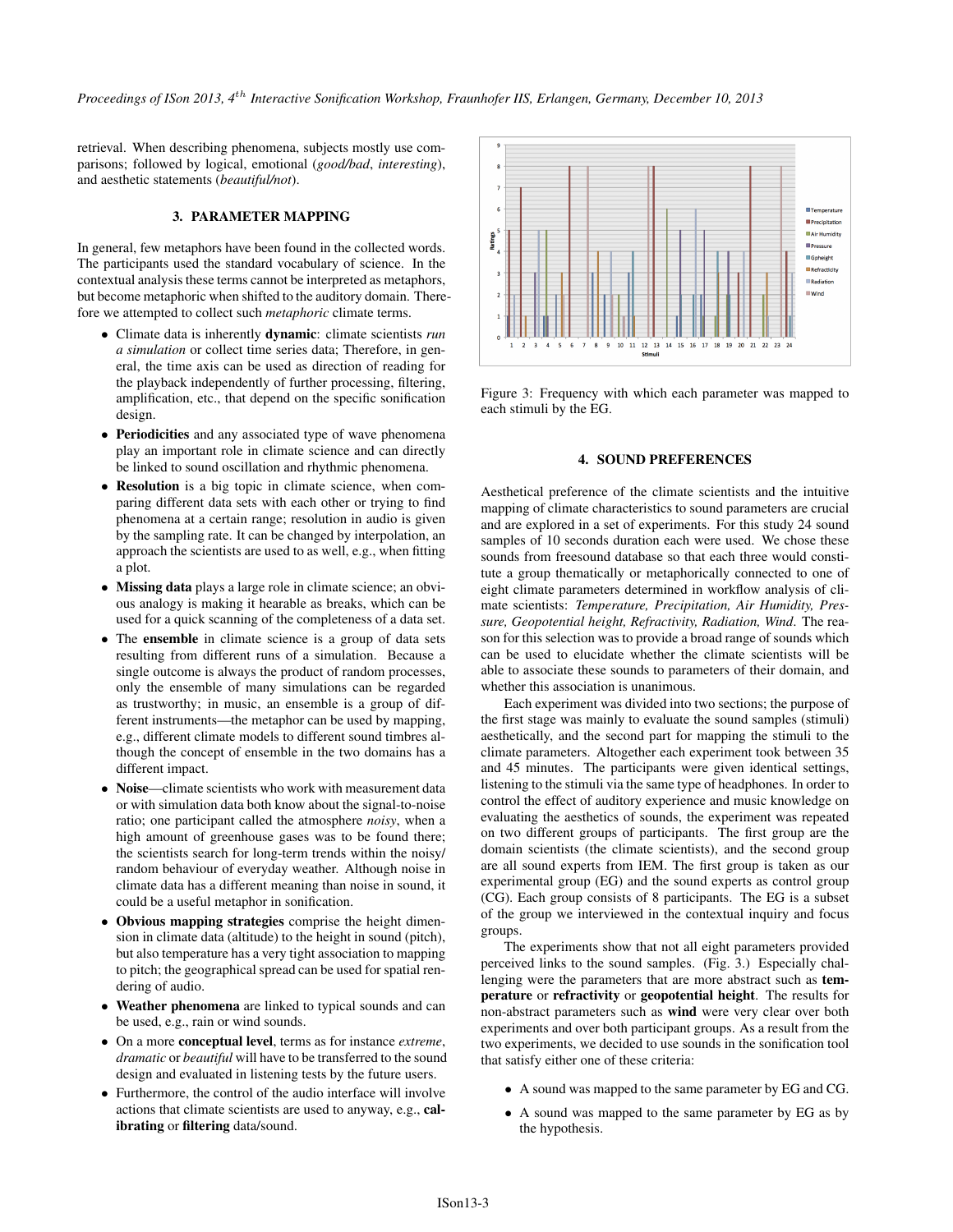*Proceedings of ISon 2013, 4*th *Interactive Sonification Workshop, Fraunhofer IIS, Erlangen, Germany, December 10, 2013*

retrieval. When describing phenomena, subjects mostly use comparisons; followed by logical, emotional (*good/bad*, *interesting*), and aesthetic statements (*beautiful/not*).

# 3. PARAMETER MAPPING

In general, few metaphors have been found in the collected words. The participants used the standard vocabulary of science. In the contextual analysis these terms cannot be interpreted as metaphors, but become metaphoric when shifted to the auditory domain. Therefore we attempted to collect such *metaphoric* climate terms.

- Climate data is inherently dynamic: climate scientists *run a simulation* or collect time series data; Therefore, in general, the time axis can be used as direction of reading for the playback independently of further processing, filtering, amplification, etc., that depend on the specific sonification design.
- Periodicities and any associated type of wave phenomena play an important role in climate science and can directly be linked to sound oscillation and rhythmic phenomena.
- Resolution is a big topic in climate science, when comparing different data sets with each other or trying to find phenomena at a certain range; resolution in audio is given by the sampling rate. It can be changed by interpolation, an approach the scientists are used to as well, e.g., when fitting a plot.
- Missing data plays a large role in climate science; an obvious analogy is making it hearable as breaks, which can be used for a quick scanning of the completeness of a data set.
- The ensemble in climate science is a group of data sets resulting from different runs of a simulation. Because a single outcome is always the product of random processes, only the ensemble of many simulations can be regarded as trustworthy; in music, an ensemble is a group of different instruments—the metaphor can be used by mapping, e.g., different climate models to different sound timbres although the concept of ensemble in the two domains has a different impact.
- Noise—climate scientists who work with measurement data or with simulation data both know about the signal-to-noise ratio; one participant called the atmosphere *noisy*, when a high amount of greenhouse gases was to be found there; the scientists search for long-term trends within the noisy/ random behaviour of everyday weather. Although noise in climate data has a different meaning than noise in sound, it could be a useful metaphor in sonification.
- Obvious mapping strategies comprise the height dimension in climate data (altitude) to the height in sound (pitch), but also temperature has a very tight association to mapping to pitch; the geographical spread can be used for spatial rendering of audio.
- Weather phenomena are linked to typical sounds and can be used, e.g., rain or wind sounds.
- On a more conceptual level, terms as for instance *extreme*, *dramatic* or *beautiful* will have to be transferred to the sound design and evaluated in listening tests by the future users.
- Furthermore, the control of the audio interface will involve actions that climate scientists are used to anyway, e.g., calibrating or filtering data/sound.



Figure 3: Frequency with which each parameter was mapped to each stimuli by the EG.

# 4. SOUND PREFERENCES

Aesthetical preference of the climate scientists and the intuitive mapping of climate characteristics to sound parameters are crucial and are explored in a set of experiments. For this study 24 sound samples of 10 seconds duration each were used. We chose these sounds from freesound database so that each three would constitute a group thematically or metaphorically connected to one of eight climate parameters determined in workflow analysis of climate scientists: *Temperature, Precipitation, Air Humidity, Pressure, Geopotential height, Refractivity, Radiation, Wind*. The reason for this selection was to provide a broad range of sounds which can be used to elucidate whether the climate scientists will be able to associate these sounds to parameters of their domain, and whether this association is unanimous.

Each experiment was divided into two sections; the purpose of the first stage was mainly to evaluate the sound samples (stimuli) aesthetically, and the second part for mapping the stimuli to the climate parameters. Altogether each experiment took between 35 and 45 minutes. The participants were given identical settings, listening to the stimuli via the same type of headphones. In order to control the effect of auditory experience and music knowledge on evaluating the aesthetics of sounds, the experiment was repeated on two different groups of participants. The first group are the domain scientists (the climate scientists), and the second group are all sound experts from IEM. The first group is taken as our experimental group (EG) and the sound experts as control group (CG). Each group consists of 8 participants. The EG is a subset of the group we interviewed in the contextual inquiry and focus groups.

The experiments show that not all eight parameters provided perceived links to the sound samples. (Fig. 3.) Especially challenging were the parameters that are more abstract such as temperature or refractivity or geopotential height. The results for non-abstract parameters such as wind were very clear over both experiments and over both participant groups. As a result from the two experiments, we decided to use sounds in the sonification tool that satisfy either one of these criteria:

- A sound was mapped to the same parameter by EG and CG.
- A sound was mapped to the same parameter by EG as by the hypothesis.